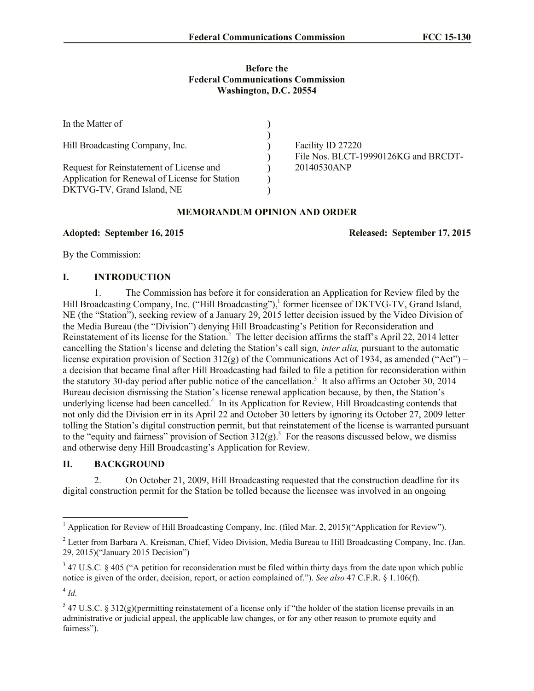### **Before the Federal Communications Commission Washington, D.C. 20554**

| In the Matter of                                                                                                         |  |                                                                          |
|--------------------------------------------------------------------------------------------------------------------------|--|--------------------------------------------------------------------------|
| Hill Broadcasting Company, Inc.                                                                                          |  | Facility ID 27220<br>File Nos. BLCT-19990126KG and BRCDT-<br>20140530ANP |
| Request for Reinstatement of License and<br>Application for Renewal of License for Station<br>DKTVG-TV, Grand Island, NE |  |                                                                          |

#### **MEMORANDUM OPINION AND ORDER**

**Adopted: September 16, 2015 Released: September 17, 2015**

By the Commission:

# **I. INTRODUCTION**

1. The Commission has before it for consideration an Application for Review filed by the Hill Broadcasting Company, Inc. ("Hill Broadcasting"),<sup>1</sup> former licensee of DKTVG-TV, Grand Island, NE (the "Station"), seeking review of a January 29, 2015 letter decision issued by the Video Division of the Media Bureau (the "Division") denying Hill Broadcasting's Petition for Reconsideration and Reinstatement of its license for the Station.<sup>2</sup> The letter decision affirms the staff's April 22, 2014 letter cancelling the Station's license and deleting the Station's call sign*, inter alia,* pursuant to the automatic license expiration provision of Section  $312(g)$  of the Communications Act of 1934, as amended ("Act") – a decision that became final after Hill Broadcasting had failed to file a petition for reconsideration within the statutory 30-day period after public notice of the cancellation. 3 It also affirms an October 30, 2014 Bureau decision dismissing the Station's license renewal application because, by then, the Station's underlying license had been cancelled.<sup>4</sup> In its Application for Review, Hill Broadcasting contends that not only did the Division err in its April 22 and October 30 letters by ignoring its October 27, 2009 letter tolling the Station's digital construction permit, but that reinstatement of the license is warranted pursuant to the "equity and fairness" provision of Section  $312(g)$ .<sup>5</sup> For the reasons discussed below, we dismiss and otherwise deny Hill Broadcasting's Application for Review.

# **II. BACKGROUND**

2. On October 21, 2009, Hill Broadcasting requested that the construction deadline for its digital construction permit for the Station be tolled because the licensee was involved in an ongoing

 $\overline{\phantom{a}}$ 

<sup>&</sup>lt;sup>1</sup> Application for Review of Hill Broadcasting Company, Inc. (filed Mar. 2, 2015)("Application for Review").

<sup>&</sup>lt;sup>2</sup> Letter from Barbara A. Kreisman, Chief, Video Division, Media Bureau to Hill Broadcasting Company, Inc. (Jan. 29, 2015)("January 2015 Decision")

 $347$  U.S.C. § 405 ("A petition for reconsideration must be filed within thirty days from the date upon which public notice is given of the order, decision, report, or action complained of."). *See also* 47 C.F.R. § 1.106(f).

<sup>4</sup> *Id.*

 $5$  47 U.S.C. § 312(g)(permitting reinstatement of a license only if "the holder of the station license prevails in an administrative or judicial appeal, the applicable law changes, or for any other reason to promote equity and fairness").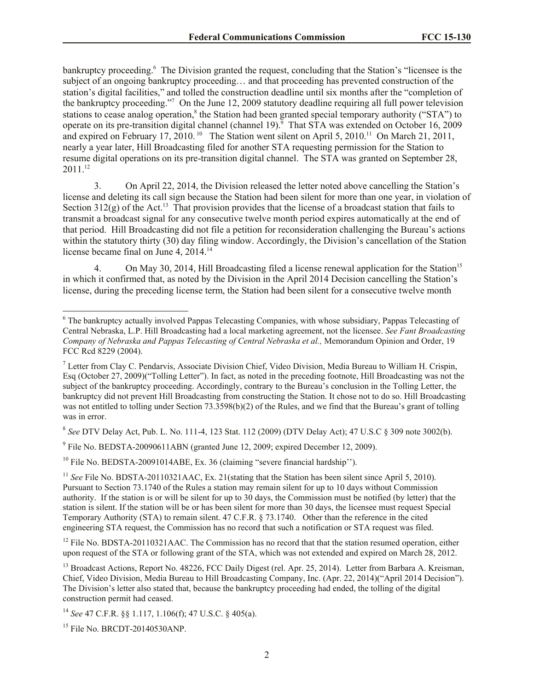bankruptcy proceeding.<sup>6</sup> The Division granted the request, concluding that the Station's "licensee is the subject of an ongoing bankruptcy proceeding… and that proceeding has prevented construction of the station's digital facilities," and tolled the construction deadline until six months after the "completion of the bankruptcy proceeding." 7 On the June 12, 2009 statutory deadline requiring all full power television stations to cease analog operation,<sup>8</sup> the Station had been granted special temporary authority ("STA") to operate on its pre-transition digital channel (channel 19).<sup>9</sup> That STA was extended on October 16, 2009 and expired on February 17, 2010.<sup>10</sup> The Station went silent on April 5, 2010.<sup>11</sup> On March 21, 2011, nearly a year later, Hill Broadcasting filed for another STA requesting permission for the Station to resume digital operations on its pre-transition digital channel. The STA was granted on September 28, 2011. 12

3. On April 22, 2014, the Division released the letter noted above cancelling the Station's license and deleting its call sign because the Station had been silent for more than one year, in violation of Section  $312(g)$  of the Act.<sup>13</sup> That provision provides that the license of a broadcast station that fails to transmit a broadcast signal for any consecutive twelve month period expires automatically at the end of that period. Hill Broadcasting did not file a petition for reconsideration challenging the Bureau's actions within the statutory thirty (30) day filing window. Accordingly, the Division's cancellation of the Station license became final on June 4, 2014.<sup>14</sup>

4. On May 30, 2014, Hill Broadcasting filed a license renewal application for the Station<sup>15</sup> in which it confirmed that, as noted by the Division in the April 2014 Decision cancelling the Station's license, during the preceding license term, the Station had been silent for a consecutive twelve month

8 *See* DTV Delay Act, Pub. L. No. 111-4, 123 Stat. 112 (2009) (DTV Delay Act); 47 U.S.C § 309 note 3002(b).

 $9$  File No. BEDSTA-20090611ABN (granted June 12, 2009; expired December 12, 2009).

 $10$  File No. BEDSTA-20091014ABE, Ex. 36 (claiming "severe financial hardship").

<sup>11</sup> *See* File No. BDSTA-20110321AAC, Ex. 21(stating that the Station has been silent since April 5, 2010). Pursuant to Section 73.1740 of the Rules a station may remain silent for up to 10 days without Commission authority. If the station is or will be silent for up to 30 days, the Commission must be notified (by letter) that the station is silent. If the station will be or has been silent for more than 30 days, the licensee must request Special Temporary Authority (STA) to remain silent. 47 C.F.R. § 73.1740. Other than the reference in the cited engineering STA request, the Commission has no record that such a notification or STA request was filed.

<sup>12</sup> File No. BDSTA-20110321AAC. The Commission has no record that that the station resumed operation, either upon request of the STA or following grant of the STA, which was not extended and expired on March 28, 2012.

<sup>13</sup> Broadcast Actions, Report No. 48226, FCC Daily Digest (rel. Apr. 25, 2014). Letter from Barbara A. Kreisman, Chief, Video Division, Media Bureau to Hill Broadcasting Company, Inc. (Apr. 22, 2014)("April 2014 Decision"). The Division's letter also stated that, because the bankruptcy proceeding had ended, the tolling of the digital construction permit had ceased.

<sup>15</sup> File No. BRCDT-20140530ANP.

 $\overline{\phantom{a}}$ 

<sup>&</sup>lt;sup>6</sup> The bankruptcy actually involved Pappas Telecasting Companies, with whose subsidiary, Pappas Telecasting of Central Nebraska, L.P. Hill Broadcasting had a local marketing agreement, not the licensee. *See Fant Broadcasting Company of Nebraska and Pappas Telecasting of Central Nebraska et al.,* Memorandum Opinion and Order, 19 FCC Rcd 8229 (2004).

 $^7$  Letter from Clay C. Pendarvis, Associate Division Chief, Video Division, Media Bureau to William H. Crispin, Esq (October 27, 2009)("Tolling Letter"). In fact, as noted in the preceding footnote, Hill Broadcasting was not the subject of the bankruptcy proceeding. Accordingly, contrary to the Bureau's conclusion in the Tolling Letter, the bankruptcy did not prevent Hill Broadcasting from constructing the Station. It chose not to do so. Hill Broadcasting was not entitled to tolling under Section 73.3598(b)(2) of the Rules, and we find that the Bureau's grant of tolling was in error.

<sup>14</sup> *See* 47 C.F.R. §§ 1.117, 1.106(f); 47 U.S.C. § 405(a).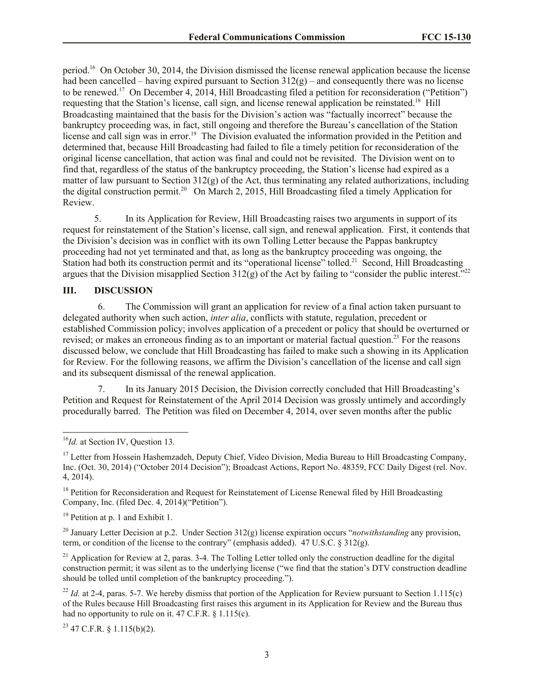period.<sup>16</sup> On October 30, 2014, the Division dismissed the license renewal application because the license had been cancelled – having expired pursuant to Section  $312(g)$  – and consequently there was no license to be renewed.<sup>17</sup> On December 4, 2014, Hill Broadcasting filed a petition for reconsideration ("Petition") requesting that the Station's license, call sign, and license renewal application be reinstated.<sup>18</sup> Hill Broadcasting maintained that the basis for the Division's action was "factually incorrect" because the bankruptcy proceeding was, in fact, still ongoing and therefore the Bureau's cancellation of the Station license and call sign was in error.<sup>19</sup> The Division evaluated the information provided in the Petition and determined that, because Hill Broadcasting had failed to file a timely petition for reconsideration of the original license cancellation, that action was final and could not be revisited. The Division went on to find that, regardless of the status of the bankruptcy proceeding, the Station's license had expired as a matter of law pursuant to Section  $312(g)$  of the Act, thus terminating any related authorizations, including the digital construction permit.<sup>20</sup> On March 2, 2015, Hill Broadcasting filed a timely Application for Review.

5. In its Application for Review, Hill Broadcasting raises two arguments in support of its request for reinstatement of the Station's license, call sign, and renewal application. First, it contends that the Division's decision was in conflict with its own Tolling Letter because the Pappas bankruptcy proceeding had not yet terminated and that, as long as the bankruptcy proceeding was ongoing, the Station had both its construction permit and its "operational license" tolled.<sup>21</sup> Second, Hill Broadcasting argues that the Division misapplied Section 312(g) of the Act by failing to "consider the public interest."<sup>22</sup>

# **III. DISCUSSION**

6. The Commission will grant an application for review of a final action taken pursuant to delegated authority when such action, *inter alia*, conflicts with statute, regulation, precedent or established Commission policy; involves application of a precedent or policy that should be overturned or revised; or makes an erroneous finding as to an important or material factual question.<sup>23</sup> For the reasons discussed below, we conclude that Hill Broadcasting has failed to make such a showing in its Application for Review. For the following reasons, we affirm the Division's cancellation of the license and call sign and its subsequent dismissal of the renewal application.

7. In its January 2015 Decision, the Division correctly concluded that Hill Broadcasting's Petition and Request for Reinstatement of the April 2014 Decision was grossly untimely and accordingly procedurally barred. The Petition was filed on December 4, 2014, over seven months after the public

 $\overline{\phantom{a}}$ 

<sup>18</sup> Petition for Reconsideration and Request for Reinstatement of License Renewal filed by Hill Broadcasting Company, Inc. (filed Dec. 4, 2014)("Petition").

<sup>19</sup> Petition at p. 1 and Exhibit 1.

<sup>20</sup> January Letter Decision at p.2. Under Section 312(g) license expiration occurs "*notwithstanding* any provision, term, or condition of the license to the contrary" (emphasis added). 47 U.S.C. § 312(g).

 $21$  Application for Review at 2, paras. 3-4. The Tolling Letter tolled only the construction deadline for the digital construction permit; it was silent as to the underlying license ("we find that the station's DTV construction deadline should be tolled until completion of the bankruptcy proceeding.").

<sup>22</sup> *Id.* at 2-4, paras. 5-7. We hereby dismiss that portion of the Application for Review pursuant to Section 1.115(c) of the Rules because Hill Broadcasting first raises this argument in its Application for Review and the Bureau thus had no opportunity to rule on it. 47 C.F.R. § 1.115(c).

 $23$  47 C.F.R. § 1.115(b)(2).

<sup>&</sup>lt;sup>16</sup>Id. at Section IV, Question 13.

<sup>&</sup>lt;sup>17</sup> Letter from Hossein Hashemzadeh, Deputy Chief, Video Division, Media Bureau to Hill Broadcasting Company, Inc. (Oct. 30, 2014) ("October 2014 Decision"); Broadcast Actions, Report No. 48359, FCC Daily Digest (rel. Nov. 4, 2014).